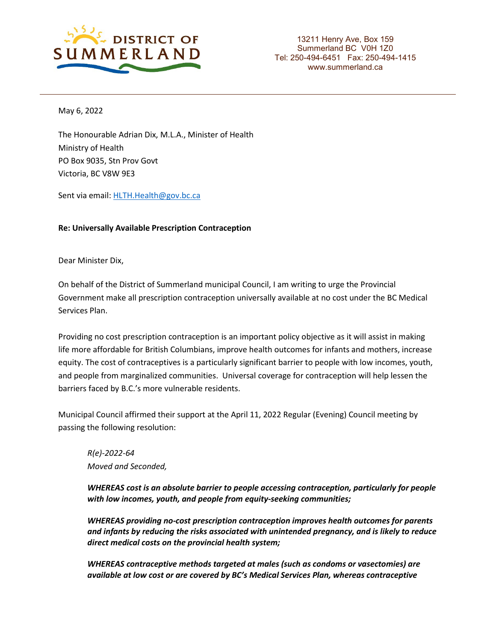

13211 Henry Ave, Box 159 Summerland BC V0H 1Z0 Tel: 250-494-6451 Fax: 250-494-1415 www.summerland.ca

May 6, 2022

The Honourable Adrian Dix, M.L.A., Minister of Health Ministry of Health PO Box 9035, Stn Prov Govt Victoria, BC V8W 9E3

Sent via email[: HLTH.Health@gov.bc.ca](mailto:HLTH.Health@gov.bc.ca)

## **Re: Universally Available Prescription Contraception**

Dear Minister Dix,

On behalf of the District of Summerland municipal Council, I am writing to urge the Provincial Government make all prescription contraception universally available at no cost under the BC Medical Services Plan.

Providing no cost prescription contraception is an important policy objective as it will assist in making life more affordable for British Columbians, improve health outcomes for infants and mothers, increase equity. The cost of contraceptives is a particularly significant barrier to people with low incomes, youth, and people from marginalized communities. Universal coverage for contraception will help lessen the barriers faced by B.C.'s more vulnerable residents.

Municipal Council affirmed their support at the April 11, 2022 Regular (Evening) Council meeting by passing the following resolution:

*R(e)-2022-64 Moved and Seconded,*

*WHEREAS cost is an absolute barrier to people accessing contraception, particularly for people with low incomes, youth, and people from equity-seeking communities;* 

*WHEREAS providing no-cost prescription contraception improves health outcomes for parents and infants by reducing the risks associated with unintended pregnancy, and is likely to reduce direct medical costs on the provincial health system;* 

*WHEREAS contraceptive methods targeted at males (such as condoms or vasectomies) are available at low cost or are covered by BC's Medical Services Plan, whereas contraceptive*